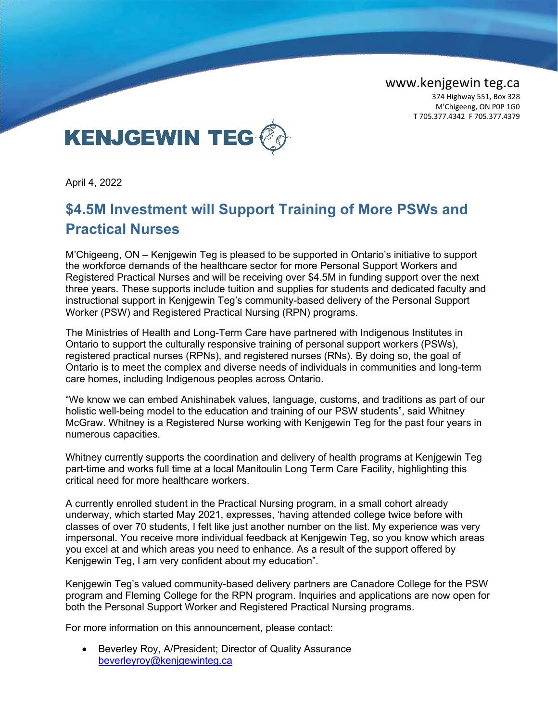www.kenjgewin teg.ca

374 Highway 551, Box 328 M'Chigeeng, ON P0P 1G0 T 705.377.4342 F 705.377.4379



April 4, 2022

## **\$4.5M Investment will Support Training of More PSWs and Practical Nurses**

M'Chigeeng, ON – Kenjgewin Teg is pleased to be supported in Ontario's initiative to support the workforce demands of the healthcare sector for more Personal Support Workers and Registered Practical Nurses and will be receiving over \$4.5M in funding support over the next three years. These supports include tuition and supplies for students and dedicated faculty and instructional support in Kenjgewin Teg's community-based delivery of the Personal Support Worker (PSW) and Registered Practical Nursing (RPN) programs.

The Ministries of Health and Long-Term Care have partnered with Indigenous Institutes in Ontario to support the culturally responsive training of personal support workers (PSWs), registered practical nurses (RPNs), and registered nurses (RNs). By doing so, the goal of Ontario is to meet the complex and diverse needs of individuals in communities and long-term care homes, including Indigenous peoples across Ontario.

"We know we can embed Anishinabek values, language, customs, and traditions as part of our holistic well-being model to the education and training of our PSW students", said Whitney McGraw. Whitney is a Registered Nurse working with Kenjgewin Teg for the past four years in numerous capacities.

Whitney currently supports the coordination and delivery of health programs at Kenjgewin Teg part-time and works full time at a local Manitoulin Long Term Care Facility, highlighting this critical need for more healthcare workers.

A currently enrolled student in the Practical Nursing program, in a small cohort already underway, which started May 2021, expresses, 'having attended college twice before with classes of over 70 students, I felt like just another number on the list. My experience was very impersonal. You receive more individual feedback at Kenjgewin Teg, so you know which areas you excel at and which areas you need to enhance. As a result of the support offered by Kenjgewin Teg, I am very confident about my education".

Kenjgewin Teg's valued community-based delivery partners are Canadore College for the PSW program and Fleming College for the RPN program. Inquiries and applications are now open for both the Personal Support Worker and Registered Practical Nursing programs.

For more information on this announcement, please contact:

• Beverley Roy, A/President; Director of Quality Assurance [beverleyroy@kenjgewinteg.ca](mailto:beverleyroy@kenjgewinteg.ca)